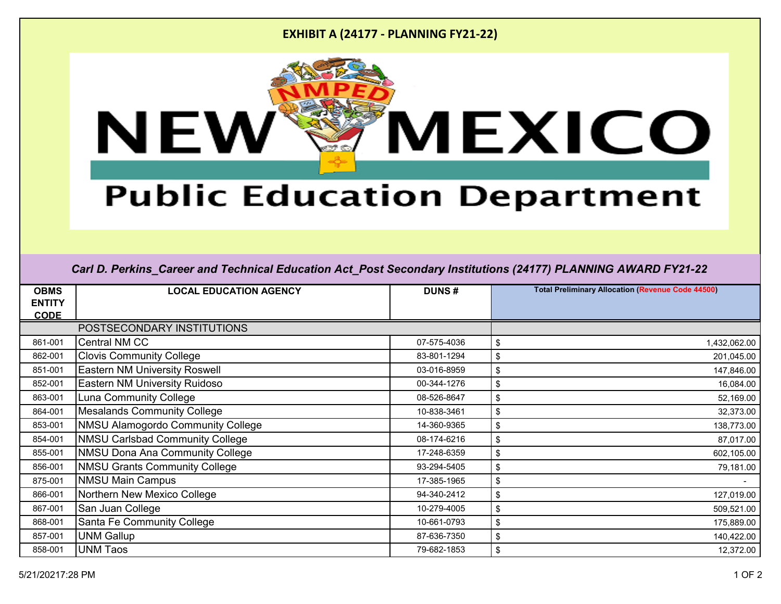### **EXHIBIT A (24177 - PLANNING FY21-22)**



# **Public Education Department**

#### *Carl D. Perkins\_Career and Technical Education Act\_Post Secondary Institutions (24177) PLANNING AWARD FY21-22*

| <b>OBMS</b>   | <b>LOCAL EDUCATION AGENCY</b>            | <b>DUNS#</b> | <b>Total Preliminary Allocation (Revenue Code 44500)</b> |
|---------------|------------------------------------------|--------------|----------------------------------------------------------|
| <b>ENTITY</b> |                                          |              |                                                          |
| <b>CODE</b>   |                                          |              |                                                          |
|               | POSTSECONDARY INSTITUTIONS               |              |                                                          |
| 861-001       | <b>Central NM CC</b>                     | 07-575-4036  | \$<br>1,432,062.00                                       |
| 862-001       | <b>Clovis Community College</b>          | 83-801-1294  | \$<br>201,045.00                                         |
| 851-001       | <b>Eastern NM University Roswell</b>     | 03-016-8959  | \$<br>147,846.00                                         |
| 852-001       | Eastern NM University Ruidoso            | 00-344-1276  | \$<br>16,084.00                                          |
| 863-001       | <b>Luna Community College</b>            | 08-526-8647  | 52,169.00<br>\$                                          |
| 864-001       | <b>Mesalands Community College</b>       | 10-838-3461  | \$<br>32,373.00                                          |
| 853-001       | <b>NMSU Alamogordo Community College</b> | 14-360-9365  | 138,773.00<br>\$                                         |
| 854-001       | <b>NMSU Carlsbad Community College</b>   | 08-174-6216  | \$<br>87,017.00                                          |
| 855-001       | <b>NMSU Dona Ana Community College</b>   | 17-248-6359  | \$<br>602,105.00                                         |
| 856-001       | <b>NMSU Grants Community College</b>     | 93-294-5405  | \$<br>79,181.00                                          |
| 875-001       | <b>NMSU Main Campus</b>                  | 17-385-1965  | \$                                                       |
| 866-001       | Northern New Mexico College              | 94-340-2412  | \$<br>127,019.00                                         |
| 867-001       | San Juan College                         | 10-279-4005  | \$<br>509,521.00                                         |
| 868-001       | Santa Fe Community College               | 10-661-0793  | \$<br>175,889.00                                         |
| 857-001       | <b>UNM Gallup</b>                        | 87-636-7350  | \$<br>140,422.00                                         |
| 858-001       | <b>UNM Taos</b>                          | 79-682-1853  | 12,372.00<br>\$                                          |